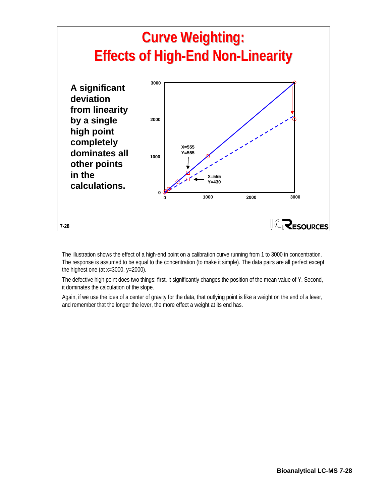

The illustration shows the effect of a high-end point on a calibration curve running from 1 to 3000 in concentration. The response is assumed to be equal to the concentration (to make it simple). The data pairs are all perfect except the highest one (at  $x=3000$ ,  $y=2000$ ).

The defective high point does two things: first, it significantly changes the position of the mean value of Y. Second, it dominates the calculation of the slope.

Again, if we use the idea of a center of gravity for the data, that outlying point is like a weight on the end of a lever, and remember that the longer the lever, the more effect a weight at its end has.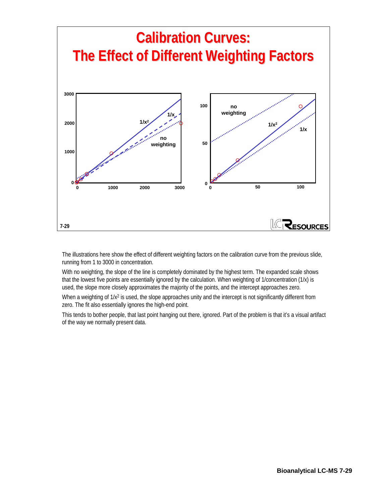

The illustrations here show the effect of different weighting factors on the calibration curve from the previous slide, running from 1 to 3000 in concentration.

With no weighting, the slope of the line is completely dominated by the highest term. The expanded scale shows that the lowest five points are essentially ignored by the calculation. When weighting of 1/concentration (1/x) is used, the slope more closely approximates the majority of the points, and the intercept approaches zero.

When a weighting of  $1/x^2$  is used, the slope approaches unity and the intercept is not significantly different from zero. The fit also essentially ignores the high-end point.

This tends to bother people, that last point hanging out there, ignored. Part of the problem is that it's a visual artifact of the way we normally present data.